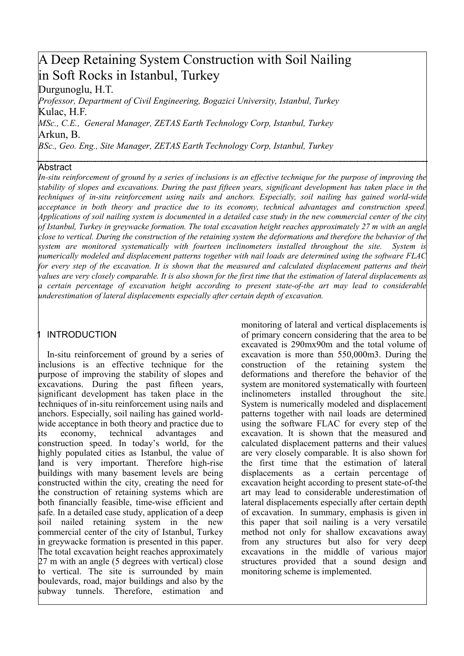# A Deep Retaining System Construction with Soil Nailing in Soft Rocks in Istanbul, Turkey

Durgunoglu, H.T.

Professor. Department of Civil Engineering. Bogazici University. Istanbul. Turkey Kulac. H.F.

MSc., C.E., General Manager, ZETAS Earth Technology Corp, Istanbul, Turkey Arkun, B.

BSc., Geo. Eng., Site Manager, ZETAS Earth Technology Corp, Istanbul, Turkey

### Abstract

In-situ reinforcement of ground by a series of inclusions is an effective technique for the purpose of improving the stability of slopes and excavations. During the past fifteen years, significant development has taken place in the techniques of in-situ reinforcement using nails and anchors. Especially, soil nailing has gained world-wide acceptance in both theory and practice due to its economy, technical advantages and construction speed. Applications of soil nailing system is documented in a detailed case study in the new commercial center of the city of Istanbul, Turkey in greywacke formation. The total excavation height reaches approximately 27 m with an angle close to vertical. During the construction of the retaining system the deformations and therefore the behavior of the system are monitored systematically with fourteen inclinometers installed throughout the site. System is numerically modeled and displacement patterns together with nail loads are determined using the software FLAC for every step of the excavation. It is shown that the measured and calculated displacement patterns and their values are very closely comparable. It is also shown for the first time that the estimation of lateral displacements as a certain percentage of excavation height according to present state-of-the art may lead to considerable underestimation of lateral displacements especially after certain depth of excavation.

# **INTRODUCTION**

In-situ reinforcement of ground by a series of inclusions is an effective technique for the purpose of improving the stability of slopes and excavations. During the past fifteen years, significant development has taken place in the techniques of in-situ reinforcement using nails and anchors. Especially, soil nailing has gained worldwide acceptance in both theory and practice due to technical its economy, advantages and construction speed. In today's world, for the highly populated cities as Istanbul, the value of land is very important. Therefore high-rise buildings with many basement levels are being constructed within the city, creating the need for the construction of retaining systems which are both financially feasible, time-wise efficient and safe. In a detailed case study, application of a deep soil nailed retaining system in the new commercial center of the city of Istanbul, Turkey in grevwacke formation is presented in this paper. The total excavation height reaches approximately 27 m with an angle (5 degrees with vertical) close to vertical. The site is surrounded by main boulevards, road, major buildings and also by the subway tunnels. Therefore, estimation and monitoring of lateral and vertical displacements is of primary concern considering that the area to be excavated is 290mx90m and the total volume of excavation is more than 550,000m3. During the construction of the retaining system the deformations and therefore the behavior of the system are monitored systematically with fourteen inclinometers installed throughout the site. System is numerically modeled and displacement patterns together with nail loads are determined using the software FLAC for every step of the excavation. It is shown that the measured and calculated displacement patterns and their values are very closely comparable. It is also shown for the first time that the estimation of lateral displacements as a certain percentage of excavation height according to present state-of-the art may lead to considerable underestimation of lateral displacements especially after certain depth of excavation. In summary, emphasis is given in this paper that soil nailing is a very versatile method not only for shallow excavations away from any structures but also for very deep excavations in the middle of various major structures provided that a sound design and monitoring scheme is implemented.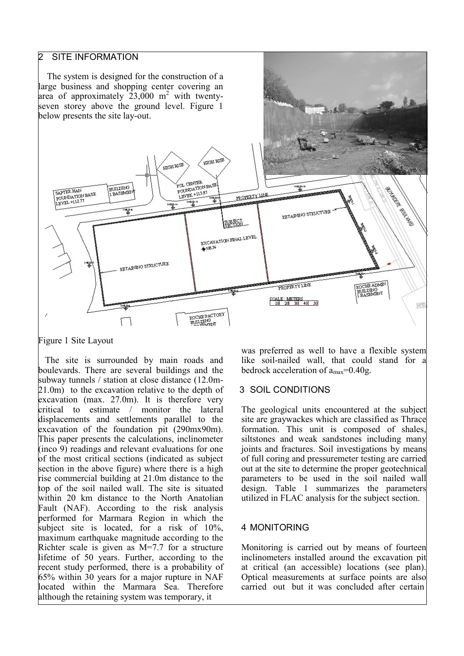# **SITE INFORMATION**

The system is designed for the construction of a large business and shopping center covering an area of approximately  $23,000 \text{ m}^2$  with twentyseven storey above the ground level. Figure 1 below presents the site lay-out.



Figure 1 Site Layout

The site is surrounded by main roads and boulevards. There are several buildings and the subway tunnels / station at close distance (12.0m- $(21.0<sub>m</sub>)$  to the excavation relative to the depth of excavation (max.  $27.0$ m). It is therefore very critical to estimate / monitor the lateral displacements and settlements parallel to the excavation of the foundation pit (290mx90m). This paper presents the calculations, inclinometer (inco 9) readings and relevant evaluations for one of the most critical sections (indicated as subject section in the above figure) where there is a high rise commercial building at 21.0m distance to the top of the soil nailed wall. The site is situated within 20 km distance to the North Anatolian Fault (NAF). According to the risk analysis performed for Marmara Region in which the subject site is located, for a risk of 10%, maximum earthquake magnitude according to the Richter scale is given as  $M=7.7$  for a structure lifetime of 50 years. Further, according to the recent study performed, there is a probability of 65% within 30 years for a major rupture in NAF located within the Marmara Sea. Therefore although the retaining system was temporary, it

was preferred as well to have a flexible system like soil-nailed wall, that could stand for a bedrock acceleration of  $a_{max} = 0.40g$ .

#### 3 SOIL CONDITIONS

The geological units encountered at the subject site are graywackes which are classified as Thrace formation. This unit is composed of shales. siltstones and weak sandstones including many joints and fractures. Soil investigations by means of full coring and pressuremeter testing are carried out at the site to determine the proper geotechnical parameters to be used in the soil nailed wall design. Table 1 summarizes the parameters utilized in FLAC analysis for the subject section.

#### 4 MONITORING

Monitoring is carried out by means of fourteen inclinometers installed around the excavation pit at critical (an accessible) locations (see plan). Optical measurements at surface points are also carried out but it was concluded after certain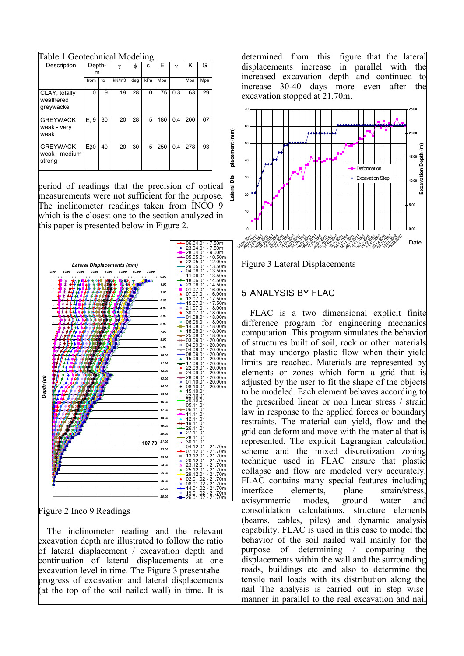| Table 1 Geotechnical Modeling              |        |    |              |     |     |     |              |     |     |  |  |
|--------------------------------------------|--------|----|--------------|-----|-----|-----|--------------|-----|-----|--|--|
| Description                                | Depth- |    | $\mathsf{v}$ | Φ   | c   | F   | $\mathbf{v}$ | ĸ   | G   |  |  |
|                                            | m      |    |              |     |     |     |              |     |     |  |  |
|                                            | from   | to | kN/m3        | deg | kPa | Mpa |              | Mpa | Mpa |  |  |
| CLAY, totally<br>weathered<br>greywacke    | 0      | 9  | 19           | 28  | 0   | 75  | 0.3          | 63  | 29  |  |  |
| <b>GREYWACK</b><br>weak - very<br>weak     | E. 9   | 30 | 20           | 28  | 5   | 180 | 0.4          | 200 | 67  |  |  |
| <b>GREYWACK</b><br>weak - medium<br>strong | E30    | 40 | 20           | 30  | 5   | 250 | 0.4          | 278 | 93  |  |  |

period of readings that the precision of optical measurements were not sufficient for the purpose. The inclinometer readings taken from INCO 9 which is the closest one to the section analyzed in this paper is presented below in Figure 2.

 $06.04.01 - 7.50m$ 



Figure 2 Inco 9 Readings

The inclinemeter reading and the relevant excavation depth are illustrated to follow the ratio of lateral displacement / excavation depth and continuation of lateral displacements at one excavation level in time. The Figure 3 presents the progress of excavation and lateral displacements (at the top of the soil nailed wall) in time. It is

determined from this figure that the lateral displacements increase in parallel with the increased excavation depth and continued to increase 30-40 days more even after the excavation stopped at 21.70m.





# 5 ANALYSIS BY FLAC

FLAC is a two dimensional explicit finite difference program for engineering mechanics computation. This program simulates the behavior of structures built of soil, rock or other materials that may undergo plastic flow when their yield limits are reached. Materials are represented by elements or zones which form a grid that is adjusted by the user to fit the shape of the objects to be modeled. Each element behaves according to the prescribed linear or non linear stress / strain law in response to the applied forces or boundary restraints. The material can yield, flow and the grid can deform and move with the material that is represented. The explicit Lagrangian calculation scheme and the mixed discretization zoning technique used in FLAC ensure that plastic collapse and flow are modeled very accurately. FLAC contains many special features including interface elements. plane strain/stress ground axisymmetric modes. water and consolidation calculations, structure elements (beams, cables, piles) and dynamic analysis capability. FLAC is used in this case to model the behavior of the soil nailed wall mainly for the purpose of determining / comparing the displacements within the wall and the surrounding roads, buildings etc and also to determine the tensile nail loads with its distribution along the nail The analysis is carried out in step wise manner in parallel to the real excavation and nail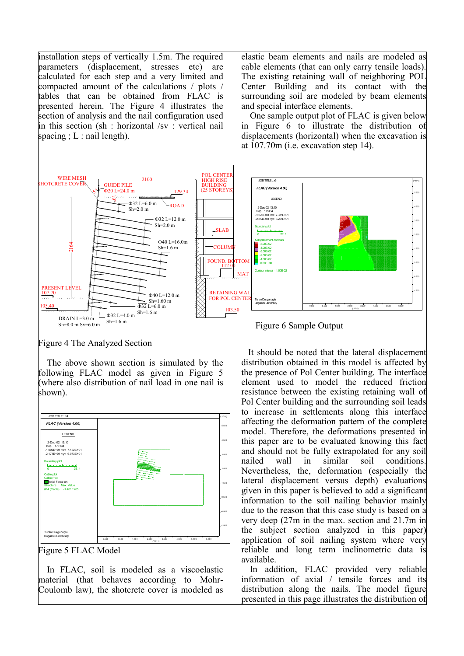installation steps of vertically 1.5m. The required parameters (displacement, stresses etc) are calculated for each step and a very limited and compacted amount of the calculations / plots / tables that can be obtained from FLAC is presented herein. The Figure 4 illustrates the section of analysis and the nail configuration used in this section (sh : horizontal /sv : vertical nail spacing :  $L$  : nail length).

elastic beam elements and nails are modeled as cable elements (that can only carry tensile loads). The existing retaining wall of neighboring POL Center Building and its contact with the surrounding soil are modeled by beam elements and special interface elements.

One sample output plot of FLAC is given below in Figure 6 to illustrate the distribution of displacements (horizontal) when the excavation is at  $107.70$ m (i.e. excavation step 14).



Figure 4 The Analyzed Section

The above shown section is simulated by the following FLAC model as given in Figure 5 (where also distribution of nail load in one nail is shown).



Figure 5 FLAC Model

In FLAC, soil is modeled as a viscoelastic material (that behaves according to Mohr-Coulomb law), the shotcrete cover is modeled as

Figure 6 Sample Output

It should be noted that the lateral displacement distribution obtained in this model is affected by the presence of Pol Center building. The interface element used to model the reduced friction resistance between the existing retaining wall of Pol Center building and the surrounding soil leads to increase in settlements along this interface affecting the deformation pattern of the complete model. Therefore, the deformations presented in this paper are to be evaluated knowing this fact and should not be fully extrapolated for any soil nailed wall  $in$ similar soil conditions. Nevertheless, the, deformation (especially the lateral displacement versus depth) evaluations given in this paper is believed to add a significant information to the soil nailing behavior mainly due to the reason that this case study is based on a very deep  $(27m)$  in the max, section and  $21.7m$  in the subject section analyzed in this paper) application of soil nailing system where very reliable and long term inclinometric data is available.

In addition, FLAC provided very reliable information of axial / tensile forces and its distribution along the nails. The model figure presented in this page illustrates the distribution of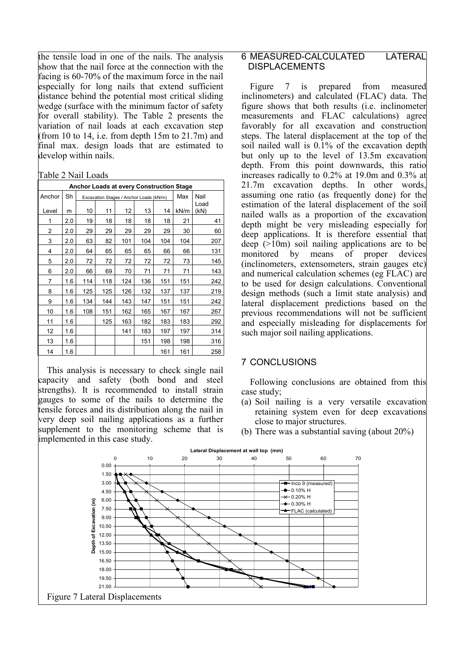the tensile load in one of the nails. The analysis show that the nail force at the connection with the facing is 60-70% of the maximum force in the nail especially for long nails that extend sufficient distance behind the potential most critical sliding wedge (surface with the minimum factor of safety for overall stability). The Table 2 presents the variation of nail loads at each excavation step (from 10 to 14, i.e. from depth  $15m$  to  $21.7m$ ) and final max. design loads that are estimated to develop within nails.

Table 2 Nail Loads

| <b>Anchor Loads at every Construction Stage</b> |     |     |                                         |     |      |     |      |              |  |  |
|-------------------------------------------------|-----|-----|-----------------------------------------|-----|------|-----|------|--------------|--|--|
| Anchor                                          | Sh  |     | Excavation Stages / Anchor Loads (kN/m) | Max | Nail |     |      |              |  |  |
| Level                                           | m   | 10  | 11                                      | 12  | 13   | 14  | kN/m | Load<br>(kN) |  |  |
| 1                                               | 2.0 | 19  | 18                                      | 18  | 18   | 18  | 21   | 41           |  |  |
| 2                                               | 2.0 | 29  | 29                                      | 29  | 29   | 29  | 30   | 60           |  |  |
| 3                                               | 2.0 | 63  | 82                                      | 101 | 104  | 104 | 104  | 207          |  |  |
| 4                                               | 2.0 | 64  | 65                                      | 65  | 65   | 66  | 66   | 131          |  |  |
| 5                                               | 2.0 | 72  | 72                                      | 72  | 72   | 72  | 73   | 145          |  |  |
| 6                                               | 2.0 | 66  | 69                                      | 70  | 71   | 71  | 71   | 143          |  |  |
| 7                                               | 1.6 | 114 | 118                                     | 124 | 136  | 151 | 151  | 242          |  |  |
| 8                                               | 1.6 | 125 | 125                                     | 126 | 132  | 137 | 137  | 219          |  |  |
| 9                                               | 1.6 | 134 | 144                                     | 143 | 147  | 151 | 151  | 242          |  |  |
| 10                                              | 1.6 | 108 | 151                                     | 162 | 165  | 167 | 167  | 267          |  |  |
| 11                                              | 1.6 |     | 125                                     | 163 | 182  | 183 | 183  | 292          |  |  |
| 12                                              | 1.6 |     |                                         | 141 | 183  | 197 | 197  | 314          |  |  |
| 13                                              | 1.6 |     |                                         |     | 151  | 198 | 198  | 316          |  |  |
| 14                                              | 1.6 |     |                                         |     |      | 161 | 161  | 258          |  |  |

This analysis is necessary to check single nail capacity and safety (both bond and steel strengths). It is recommended to install strain <u>leauges</u> to some of the nails to determine the tensile forces and its distribution along the nail in very deep soil nailing applications as a further supplement to the monitoring scheme that is implemented in this case study.

#### 6 MEASURED-CALCULATED **LATERAL DISPLACEMENTS**

Figure 7  $is$ prepared from measured inclinometers) and calculated (FLAC) data. The figure shows that both results (i.e. inclinometer measurements and FLAC calculations) agree favorably for all excavation and construction steps. The lateral displacement at the top of the soil nailed wall is 0.1% of the excavation depth but only up to the level of 13.5m excavation depth. From this point downwards, this ratio increases radically to 0.2% at 19.0m and 0.3% at 21.7m excavation depths. In other words, assuming one ratio (as frequently done) for the estimation of the lateral displacement of the soil nailed walls as a proportion of the excavation depth might be very misleading especially for deep applications. It is therefore essential that deep  $(>10<sub>m</sub>)$  soil nailing applications are to be monitored  $\mathbf{b}$ v means of proper devices (inclinometers, extensometers, strain gauges etc) and numerical calculation schemes (eg FLAC) are to be used for design calculations. Conventional design methods (such a limit state analysis) and lateral displacement predictions based on the previous recommendations will not be sufficient and especially misleading for displacements for such major soil nailing applications.

# **7 CONCLUSIONS**

Following conclusions are obtained from this case study;

- (a) Soil nailing is a very versatile excavation retaining system even for deep excavations close to major structures.
- (b) There was a substantial saving (about  $20\%$ )